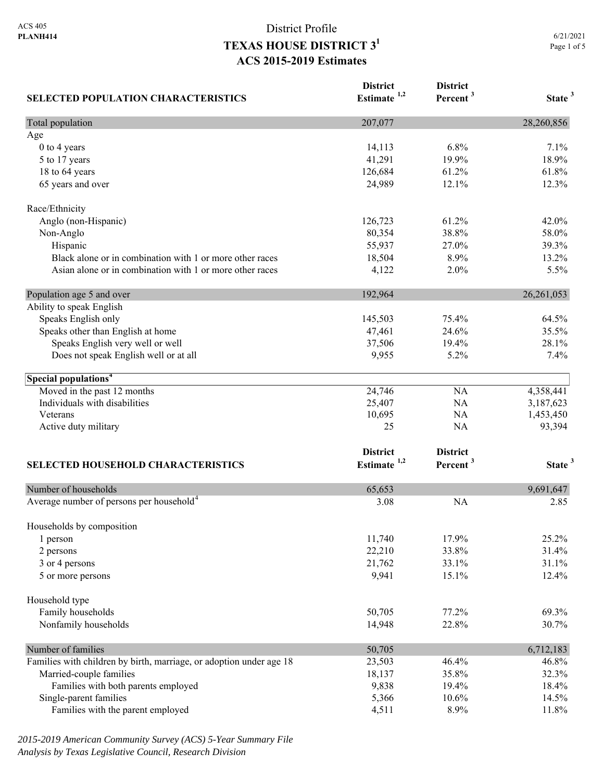| <b>SELECTED POPULATION CHARACTERISTICS</b>                          | <b>District</b><br>Estimate <sup>1,2</sup> | <b>District</b><br>Percent <sup>3</sup> | State <sup>3</sup> |
|---------------------------------------------------------------------|--------------------------------------------|-----------------------------------------|--------------------|
| Total population                                                    | 207,077                                    |                                         | 28,260,856         |
| Age                                                                 |                                            |                                         |                    |
| 0 to 4 years                                                        | 14,113                                     | 6.8%                                    | 7.1%               |
| 5 to 17 years                                                       | 41,291                                     | 19.9%                                   | 18.9%              |
| 18 to 64 years                                                      | 126,684                                    | 61.2%                                   | 61.8%              |
| 65 years and over                                                   | 24,989                                     | 12.1%                                   | 12.3%              |
| Race/Ethnicity                                                      |                                            |                                         |                    |
| Anglo (non-Hispanic)                                                | 126,723                                    | 61.2%                                   | 42.0%              |
| Non-Anglo                                                           | 80,354                                     | 38.8%                                   | 58.0%              |
| Hispanic                                                            | 55,937                                     | 27.0%                                   | 39.3%              |
| Black alone or in combination with 1 or more other races            | 18,504                                     | 8.9%                                    | 13.2%              |
| Asian alone or in combination with 1 or more other races            | 4,122                                      | 2.0%                                    | 5.5%               |
| Population age 5 and over                                           | 192,964                                    |                                         | 26,261,053         |
| Ability to speak English                                            |                                            |                                         |                    |
| Speaks English only                                                 | 145,503                                    | 75.4%                                   | 64.5%              |
| Speaks other than English at home                                   | 47,461                                     | 24.6%                                   | 35.5%              |
| Speaks English very well or well                                    | 37,506                                     | 19.4%                                   | 28.1%              |
| Does not speak English well or at all                               | 9,955                                      | 5.2%                                    | 7.4%               |
| Special populations <sup>4</sup>                                    |                                            |                                         |                    |
| Moved in the past 12 months                                         | 24,746                                     | NA                                      | 4,358,441          |
| Individuals with disabilities                                       | 25,407                                     | NA                                      | 3,187,623          |
| Veterans                                                            | 10,695                                     | NA                                      | 1,453,450          |
| Active duty military                                                | 25                                         | NA                                      | 93,394             |
|                                                                     | <b>District</b>                            | <b>District</b>                         |                    |
| <b>SELECTED HOUSEHOLD CHARACTERISTICS</b>                           | Estimate $1,2$                             | Percent <sup>3</sup>                    | State <sup>3</sup> |
| Number of households                                                | 65,653                                     |                                         | 9,691,647          |
| Average number of persons per household <sup>4</sup>                | 3.08                                       | <b>NA</b>                               | 2.85               |
| Households by composition                                           |                                            |                                         |                    |
| 1 person                                                            | 11,740                                     | 17.9%                                   | 25.2%              |
| 2 persons                                                           | 22,210                                     | 33.8%                                   | 31.4%              |
| 3 or 4 persons                                                      | 21,762                                     | 33.1%                                   | 31.1%              |
| 5 or more persons                                                   | 9,941                                      | 15.1%                                   | 12.4%              |
| Household type                                                      |                                            |                                         |                    |
| Family households                                                   | 50,705                                     | 77.2%                                   | 69.3%              |
| Nonfamily households                                                | 14,948                                     | 22.8%                                   | 30.7%              |
| Number of families                                                  | 50,705                                     |                                         | 6,712,183          |
| Families with children by birth, marriage, or adoption under age 18 | 23,503                                     | 46.4%                                   | 46.8%              |
| Married-couple families                                             | 18,137                                     | 35.8%                                   | 32.3%              |
| Families with both parents employed                                 | 9,838                                      | 19.4%                                   | 18.4%              |
| Single-parent families                                              | 5,366                                      | 10.6%                                   | 14.5%              |
| Families with the parent employed                                   | 4,511                                      | 8.9%                                    | 11.8%              |

*2015-2019 American Community Survey (ACS) 5-Year Summary File Analysis by Texas Legislative Council, Research Division*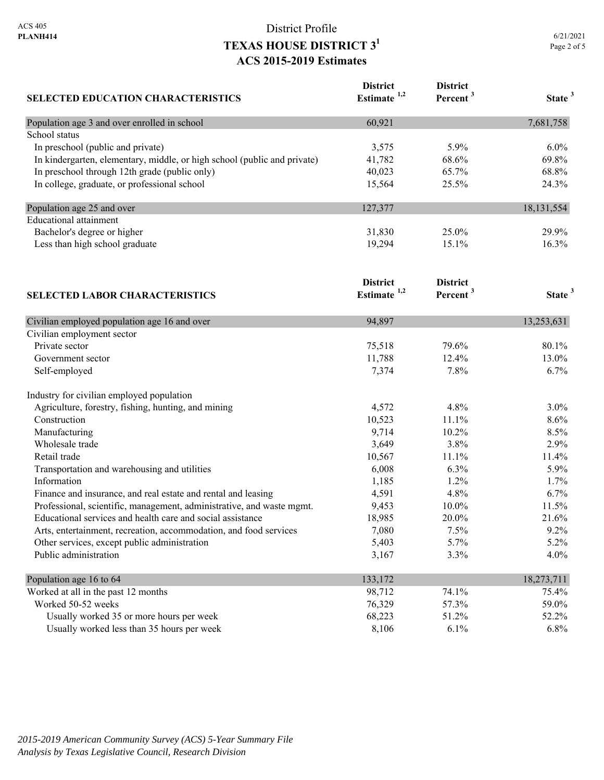| <b>SELECTED EDUCATION CHARACTERISTICS</b>                                | <b>District</b><br>Estimate <sup>1,2</sup> | <b>District</b><br>Percent <sup>3</sup> | State <sup>3</sup> |
|--------------------------------------------------------------------------|--------------------------------------------|-----------------------------------------|--------------------|
| Population age 3 and over enrolled in school                             | 60,921                                     |                                         | 7,681,758          |
| School status                                                            |                                            |                                         |                    |
| In preschool (public and private)                                        | 3,575                                      | 5.9%                                    | $6.0\%$            |
| In kindergarten, elementary, middle, or high school (public and private) | 41,782                                     | 68.6%                                   | 69.8%              |
| In preschool through 12th grade (public only)                            | 40,023                                     | 65.7%                                   | 68.8%              |
| In college, graduate, or professional school                             | 15,564                                     | 25.5%                                   | 24.3%              |
| Population age 25 and over                                               | 127,377                                    |                                         | 18, 131, 554       |
| <b>Educational</b> attainment                                            |                                            |                                         |                    |
| Bachelor's degree or higher                                              | 31,830                                     | 25.0%                                   | 29.9%              |
| Less than high school graduate                                           | 19,294                                     | 15.1%                                   | 16.3%              |
|                                                                          | <b>District</b>                            | <b>District</b>                         |                    |
| <b>SELECTED LABOR CHARACTERISTICS</b>                                    | Estimate <sup>1,2</sup>                    | Percent <sup>3</sup>                    | State <sup>3</sup> |
| Civilian employed population age 16 and over                             | 94,897                                     |                                         | 13,253,631         |
| Civilian employment sector                                               |                                            |                                         |                    |
| Private sector                                                           | 75,518                                     | 79.6%                                   | 80.1%              |
| Government sector                                                        | 11,788                                     | 12.4%                                   | 13.0%              |
| Self-employed                                                            | 7,374                                      | 7.8%                                    | 6.7%               |
| Industry for civilian employed population                                |                                            |                                         |                    |
| Agriculture, forestry, fishing, hunting, and mining                      | 4,572                                      | 4.8%                                    | $3.0\%$            |
| Construction                                                             | 10,523                                     | 11.1%                                   | 8.6%               |
| Manufacturing                                                            | 9,714                                      | 10.2%                                   | 8.5%               |
| Wholesale trade                                                          | 3,649                                      | 3.8%                                    | 2.9%               |
| Retail trade                                                             | 10,567                                     | 11.1%                                   | 11.4%              |
| Transportation and warehousing and utilities                             | 6,008                                      | 6.3%                                    | 5.9%               |
| Information                                                              | 1,185                                      | 1.2%                                    | 1.7%               |
| Finance and insurance, and real estate and rental and leasing            | 4,591                                      | 4.8%                                    | 6.7%               |
| Professional, scientific, management, administrative, and waste mgmt.    | 9,453                                      | 10.0%                                   | 11.5%              |
| Educational services and health care and social assistance               | 18,985                                     | 20.0%                                   | 21.6%              |
| Arts, entertainment, recreation, accommodation, and food services        | 7,080                                      | 7.5%                                    | 9.2%               |
| Other services, except public administration                             | 5,403                                      | 5.7%                                    | 5.2%               |
| Public administration                                                    | 3,167                                      | 3.3%                                    | 4.0%               |
| Population age 16 to 64                                                  | 133,172                                    |                                         | 18,273,711         |
| Worked at all in the past 12 months                                      | 98,712                                     | 74.1%                                   | 75.4%              |
| Worked 50-52 weeks                                                       | 76,329                                     | 57.3%                                   | 59.0%              |
| Usually worked 35 or more hours per week                                 | 68,223                                     | 51.2%                                   | 52.2%              |
| Usually worked less than 35 hours per week                               | 8,106                                      | 6.1%                                    | 6.8%               |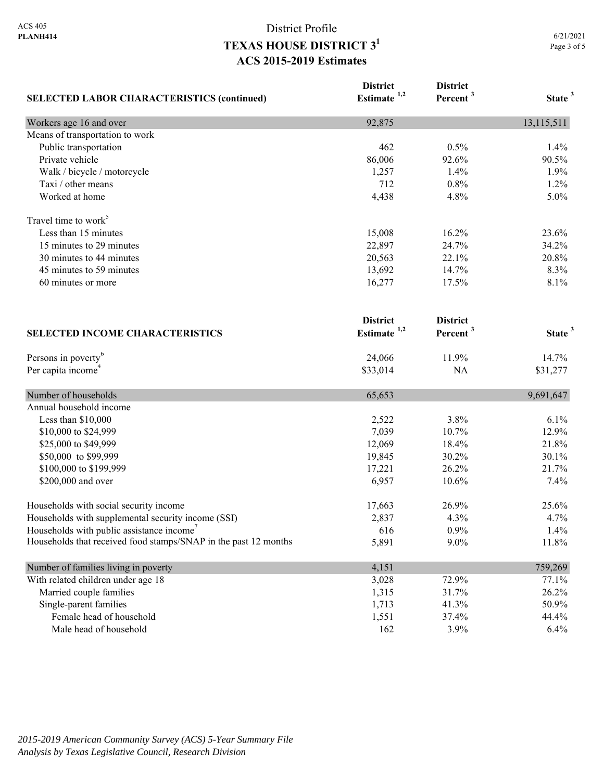| <b>SELECTED LABOR CHARACTERISTICS (continued)</b>               | <b>District</b><br>Estimate <sup>1,2</sup> | <b>District</b><br>Percent <sup>3</sup> | State <sup>3</sup> |
|-----------------------------------------------------------------|--------------------------------------------|-----------------------------------------|--------------------|
| Workers age 16 and over                                         | 92,875                                     |                                         | 13,115,511         |
| Means of transportation to work                                 |                                            |                                         |                    |
| Public transportation                                           | 462                                        | 0.5%                                    | 1.4%               |
| Private vehicle                                                 | 86,006                                     | 92.6%                                   | 90.5%              |
| Walk / bicycle / motorcycle                                     | 1,257                                      | 1.4%                                    | 1.9%               |
| Taxi / other means                                              | 712                                        | 0.8%                                    | 1.2%               |
| Worked at home                                                  | 4,438                                      | 4.8%                                    | 5.0%               |
| Travel time to work <sup>5</sup>                                |                                            |                                         |                    |
| Less than 15 minutes                                            | 15,008                                     | 16.2%                                   | 23.6%              |
| 15 minutes to 29 minutes                                        | 22,897                                     | 24.7%                                   | 34.2%              |
| 30 minutes to 44 minutes                                        | 20,563                                     | 22.1%                                   | 20.8%              |
| 45 minutes to 59 minutes                                        | 13,692                                     | 14.7%                                   | 8.3%               |
| 60 minutes or more                                              | 16,277                                     | 17.5%                                   | 8.1%               |
|                                                                 | <b>District</b><br>Estimate <sup>1,2</sup> | <b>District</b><br>Percent <sup>3</sup> | State <sup>3</sup> |
| <b>SELECTED INCOME CHARACTERISTICS</b>                          |                                            |                                         |                    |
| Persons in poverty <sup>6</sup>                                 | 24,066                                     | 11.9%                                   | 14.7%              |
| Per capita income <sup>4</sup>                                  | \$33,014                                   | NA                                      | \$31,277           |
| Number of households                                            | 65,653                                     |                                         | 9,691,647          |
| Annual household income                                         |                                            |                                         |                    |
| Less than \$10,000                                              | 2,522                                      | 3.8%                                    | 6.1%               |
| \$10,000 to \$24,999                                            | 7,039                                      | 10.7%                                   | 12.9%              |
| \$25,000 to \$49,999                                            | 12,069                                     | 18.4%                                   | 21.8%              |
| \$50,000 to \$99,999                                            | 19,845                                     | 30.2%                                   | 30.1%              |
| \$100,000 to \$199,999                                          | 17,221                                     | 26.2%                                   | 21.7%              |
| \$200,000 and over                                              | 6,957                                      | 10.6%                                   | 7.4%               |
| Households with social security income                          | 17,663                                     | 26.9%                                   | 25.6%              |
| Households with supplemental security income (SSI)              | 2,837                                      | 4.3%                                    | 4.7%               |
| Households with public assistance income'                       | 616                                        | 0.9%                                    | 1.4%               |
| Households that received food stamps/SNAP in the past 12 months | 5,891                                      | $9.0\%$                                 | 11.8%              |
| Number of families living in poverty                            | 4,151                                      |                                         | 759,269            |
| With related children under age 18                              | 3,028                                      | 72.9%                                   | 77.1%              |
| Married couple families                                         | 1,315                                      | 31.7%                                   | 26.2%              |
| Single-parent families                                          | 1,713                                      | 41.3%                                   | 50.9%              |
| Female head of household                                        | 1,551                                      | 37.4%                                   | 44.4%              |
| Male head of household                                          | 162                                        | 3.9%                                    | 6.4%               |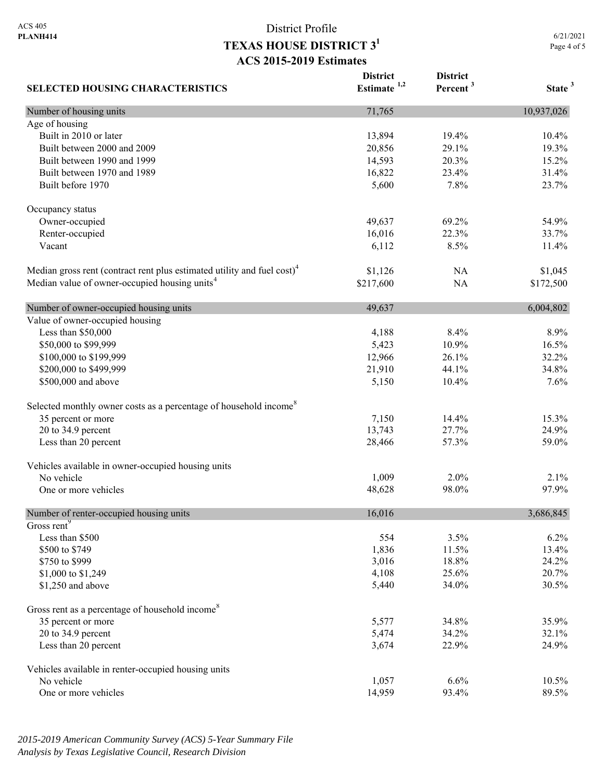6/21/2021 Page 4 of 5

| <b>SELECTED HOUSING CHARACTERISTICS</b>                                             | <b>District</b><br>Estimate $1,2$ | <b>District</b><br>Percent <sup>3</sup> | State <sup>3</sup> |
|-------------------------------------------------------------------------------------|-----------------------------------|-----------------------------------------|--------------------|
| Number of housing units                                                             | 71,765                            |                                         | 10,937,026         |
| Age of housing                                                                      |                                   |                                         |                    |
| Built in 2010 or later                                                              | 13,894                            | 19.4%                                   | 10.4%              |
| Built between 2000 and 2009                                                         | 20,856                            | 29.1%                                   | 19.3%              |
| Built between 1990 and 1999                                                         | 14,593                            | 20.3%                                   | 15.2%              |
| Built between 1970 and 1989                                                         | 16,822                            | 23.4%                                   | 31.4%              |
| Built before 1970                                                                   | 5,600                             | 7.8%                                    | 23.7%              |
| Occupancy status                                                                    |                                   |                                         |                    |
| Owner-occupied                                                                      | 49,637                            | 69.2%                                   | 54.9%              |
| Renter-occupied                                                                     | 16,016                            | 22.3%                                   | 33.7%              |
| Vacant                                                                              | 6,112                             | 8.5%                                    | 11.4%              |
| Median gross rent (contract rent plus estimated utility and fuel cost) <sup>4</sup> | \$1,126                           | NA                                      | \$1,045            |
| Median value of owner-occupied housing units <sup>4</sup>                           | \$217,600                         | NA                                      | \$172,500          |
| Number of owner-occupied housing units                                              | 49,637                            |                                         | 6,004,802          |
| Value of owner-occupied housing                                                     |                                   |                                         |                    |
| Less than \$50,000                                                                  | 4,188                             | 8.4%                                    | 8.9%               |
| \$50,000 to \$99,999                                                                | 5,423                             | 10.9%                                   | 16.5%              |
| \$100,000 to \$199,999                                                              | 12,966                            | 26.1%                                   | 32.2%              |
| \$200,000 to \$499,999                                                              | 21,910                            | 44.1%                                   | 34.8%              |
| \$500,000 and above                                                                 | 5,150                             | 10.4%                                   | 7.6%               |
| Selected monthly owner costs as a percentage of household income <sup>8</sup>       |                                   |                                         |                    |
| 35 percent or more                                                                  | 7,150                             | 14.4%                                   | 15.3%              |
| 20 to 34.9 percent                                                                  | 13,743                            | 27.7%                                   | 24.9%              |
| Less than 20 percent                                                                | 28,466                            | 57.3%                                   | 59.0%              |
| Vehicles available in owner-occupied housing units                                  |                                   |                                         |                    |
| No vehicle                                                                          | 1,009                             | 2.0%                                    | 2.1%               |
| One or more vehicles                                                                | 48,628                            | 98.0%                                   | 97.9%              |
| Number of renter-occupied housing units                                             | 16,016                            |                                         | 3,686,845          |
| Gross rent <sup>9</sup>                                                             |                                   |                                         |                    |
| Less than \$500                                                                     | 554                               | 3.5%                                    | 6.2%               |
| \$500 to \$749                                                                      | 1,836                             | 11.5%                                   | 13.4%              |
| \$750 to \$999                                                                      | 3,016                             | 18.8%                                   | 24.2%              |
| \$1,000 to \$1,249                                                                  | 4,108                             | 25.6%                                   | 20.7%              |
| \$1,250 and above                                                                   | 5,440                             | 34.0%                                   | 30.5%              |
| Gross rent as a percentage of household income <sup>8</sup>                         |                                   |                                         |                    |
| 35 percent or more                                                                  | 5,577                             | 34.8%                                   | 35.9%              |
| $20$ to $34.9$ percent                                                              | 5,474                             | 34.2%                                   | 32.1%              |
| Less than 20 percent                                                                | 3,674                             | 22.9%                                   | 24.9%              |
| Vehicles available in renter-occupied housing units                                 |                                   |                                         |                    |
| No vehicle                                                                          | 1,057                             | 6.6%                                    | 10.5%              |
| One or more vehicles                                                                | 14,959                            | 93.4%                                   | 89.5%              |